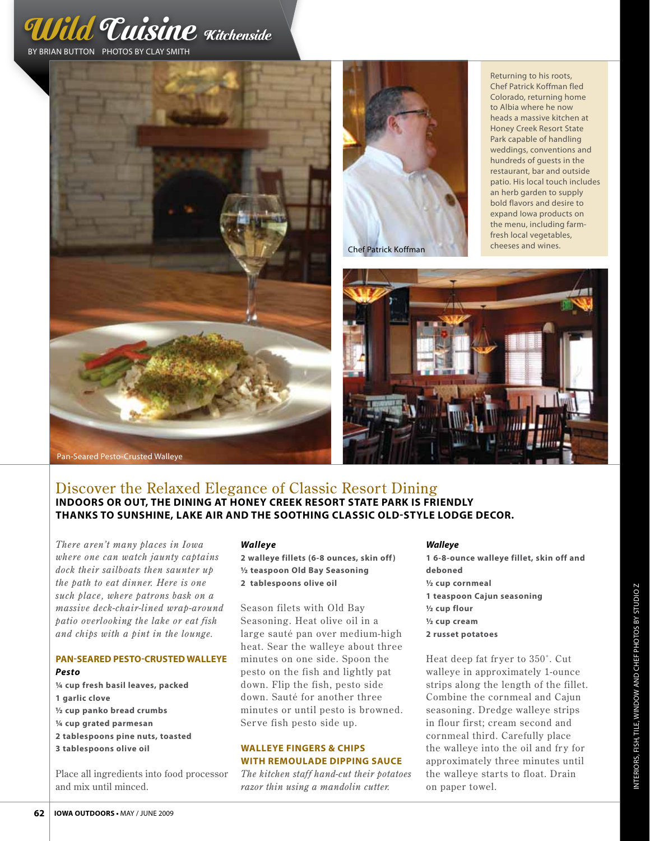





Returning to his roots, Chef Patrick Koffman fled Colorado, returning home to Albia where he now heads a massive kitchen at Honey Creek Resort State Park capable of handling weddings, conventions and hundreds of guests in the restaurant, bar and outside patio. His local touch includes an herb garden to supply bold flavors and desire to expand Iowa products on the menu, including farmfresh local vegetables, cheeses and wines.



# Discover the Relaxed Elegance of Classic Resort Dining **indoors or out, the dining at honey creek resort state park is friendly thanks to sunshine, lake air and the soothing classic old-style lodge decor.**

*There aren't many places in Iowa where one can watch jaunty captains dock their sailboats then saunter up the path to eat dinner. Here is one such place, where patrons bask on a massive deck-chair-lined wrap-around patio overlooking the lake or eat fish and chips with a pint in the lounge.* 

# **Pan-Seared Pesto-Crusted Walleye**  *Pesto*

**¼ cup fresh basil leaves, packed 1 garlic clove ½ cup panko bread crumbs ¼ cup grated parmesan 2 tablespoons pine nuts, toasted 3 tablespoons olive oil**

Place all ingredients into food processor and mix until minced.

#### *Walleye*

**2 walleye fillets (6-8 ounces, skin off) ½ teaspoon Old Bay Seasoning 2 tablespoons olive oil**

Season filets with Old Bay Seasoning. Heat olive oil in a large sauté pan over medium-high heat. Sear the walleye about three minutes on one side. Spoon the pesto on the fish and lightly pat down. Flip the fish, pesto side down. Sauté for another three minutes or until pesto is browned. Serve fish pesto side up.

### **Walleye Fingers & Chips With remoulade dipping sauce**

*The kitchen staff hand-cut their potatoes razor thin using a mandolin cutter.*

#### *Walleye*

**1 6-8-ounce walleye fillet, skin off and deboned ½ cup cornmeal 1 teaspoon Cajun seasoning ½ cup flour ½ cup cream 2 russet potatoes**

Heat deep fat fryer to 350°. Cut walleye in approximately 1-ounce strips along the length of the fillet. Combine the cornmeal and Cajun seasoning. Dredge walleye strips in flour first; cream second and cornmeal third. Carefully place the walleye into the oil and fry for approximately three minutes until the walleye starts to float. Drain on the continue of the chemical original teaspoon Cajun seasoning<br>
2 cup flour<br>
2 cup cream<br>
2 russet potatoes<br>
Heat deep fat fryer to 350°. Cut<br>
walleye in approximately 1-ounce<br>
strips along the length of the fillet.<br>
Co